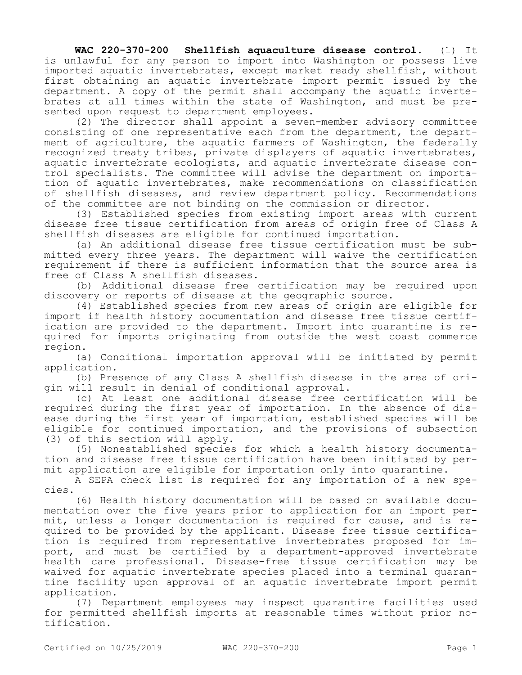**WAC 220-370-200 Shellfish aquaculture disease control.** (1) It is unlawful for any person to import into Washington or possess live imported aquatic invertebrates, except market ready shellfish, without first obtaining an aquatic invertebrate import permit issued by the department. A copy of the permit shall accompany the aquatic invertebrates at all times within the state of Washington, and must be presented upon request to department employees.

(2) The director shall appoint a seven-member advisory committee consisting of one representative each from the department, the department of agriculture, the aquatic farmers of Washington, the federally recognized treaty tribes, private displayers of aquatic invertebrates, aquatic invertebrate ecologists, and aquatic invertebrate disease control specialists. The committee will advise the department on importation of aquatic invertebrates, make recommendations on classification of shellfish diseases, and review department policy. Recommendations of the committee are not binding on the commission or director.

(3) Established species from existing import areas with current disease free tissue certification from areas of origin free of Class A shellfish diseases are eligible for continued importation.

(a) An additional disease free tissue certification must be submitted every three years. The department will waive the certification requirement if there is sufficient information that the source area is free of Class A shellfish diseases.

(b) Additional disease free certification may be required upon discovery or reports of disease at the geographic source.

(4) Established species from new areas of origin are eligible for import if health history documentation and disease free tissue certification are provided to the department. Import into quarantine is required for imports originating from outside the west coast commerce region.

(a) Conditional importation approval will be initiated by permit application.

(b) Presence of any Class A shellfish disease in the area of origin will result in denial of conditional approval.

(c) At least one additional disease free certification will be required during the first year of importation. In the absence of disease during the first year of importation, established species will be eligible for continued importation, and the provisions of subsection (3) of this section will apply.

(5) Nonestablished species for which a health history documentation and disease free tissue certification have been initiated by permit application are eligible for importation only into quarantine.

A SEPA check list is required for any importation of a new species.

(6) Health history documentation will be based on available documentation over the five years prior to application for an import permit, unless a longer documentation is required for cause, and is required to be provided by the applicant. Disease free tissue certification is required from representative invertebrates proposed for import, and must be certified by a department-approved invertebrate health care professional. Disease-free tissue certification may be waived for aquatic invertebrate species placed into a terminal quarantine facility upon approval of an aquatic invertebrate import permit application.

(7) Department employees may inspect quarantine facilities used for permitted shellfish imports at reasonable times without prior notification.